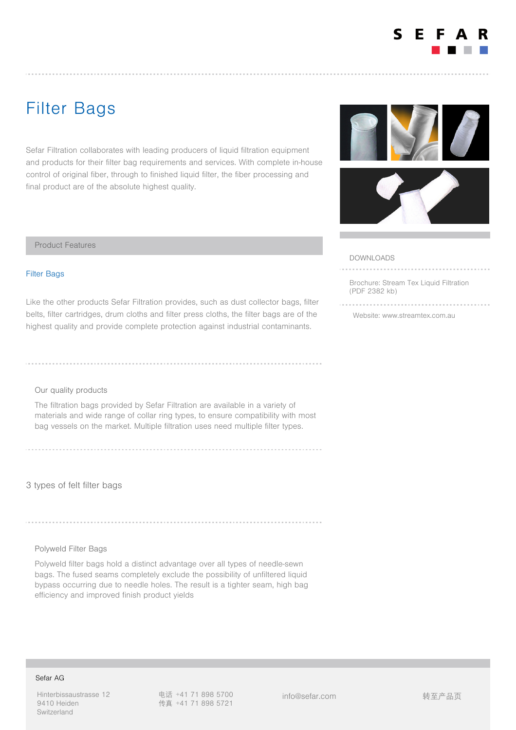# Filter Bags

Sefar Filtration collaborates with leading producers of liquid filtration equipment and products for their filter bag requirements and services. With complete in-house control of original fiber, through to finished liquid filter, the fiber processing and final product are of the absolute highest quality.

#### Product Features

# Filter Bags

Like the other products Sefar Filtration provides, such as dust collector bags, filter belts, filter cartridges, drum cloths and filter press cloths, the filter bags are of the highest quality and provide complete protection against industrial contaminants.

# Our quality products

The filtration bags provided by Sefar Filtration are available in a variety of materials and wide range of collar ring types, to ensure compatibility with most bag vessels on the market. Multiple filtration uses need multiple filter types.

3 types of felt filter bags

## Polyweld Filter Bags

Polyweld filter bags hold a distinct advantage over all types of needle-sewn bags. The fused seams completely exclude the possibility of unfiltered liquid bypass occurring due to needle holes. The result is a tighter seam, high bag efficiency and improved finish product yields

Hinterbissaustrasse 12 9410 Heiden Switzerland

Sefar AG

电话 +41 71 898 5700 传真 +41 71 898 5721

[info@sefar.com](mailto:info@sefar.com) [转至产](https://www.sefar.com/zh/609/%E5%B7%A5%E4%B8%9A%E8%BF%87%E6%BB%A4/%E7%8E%AF%E5%A2%83%E4%BF%9D%E6%8A%A4/Product.htm?Folder=5350377)品页





#### DOWNLOADS

[Brochure: Stream Tex Liquid Filtration](https://www.sefar.com/data/docs/zh/14036/FS-PDF-AUS-Stream-Tex-Liquid-Filtration-EN.pdf?v=1.0) (PDF 2382 kb)

[Website: www.streamtex.com.au](http://www.streamtex.com.au)